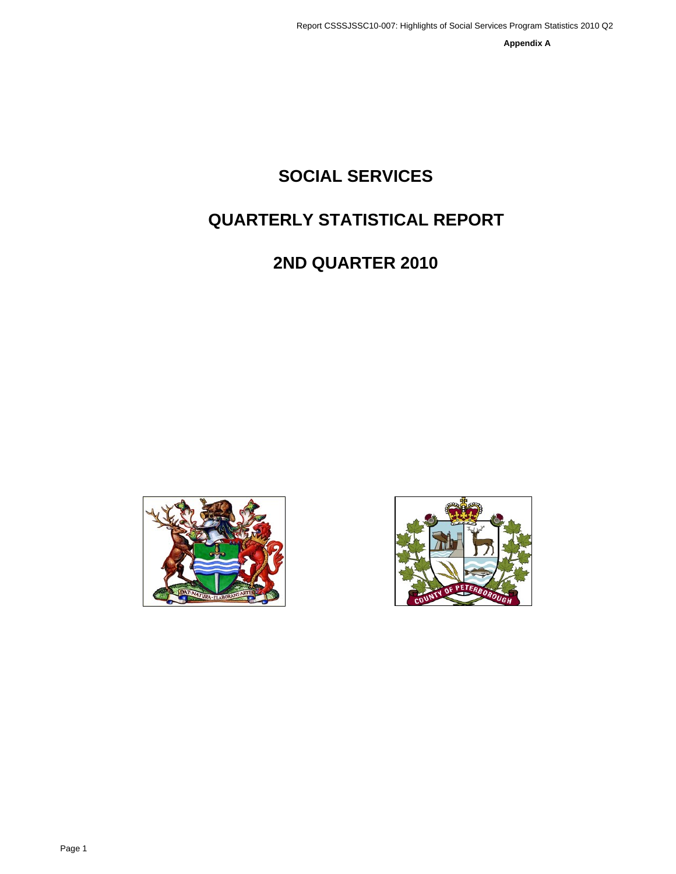**Appendix A**

# **SOCIAL SERVICES**

# **QUARTERLY STATISTICAL REPORT**

# **2ND QUARTER 2010**



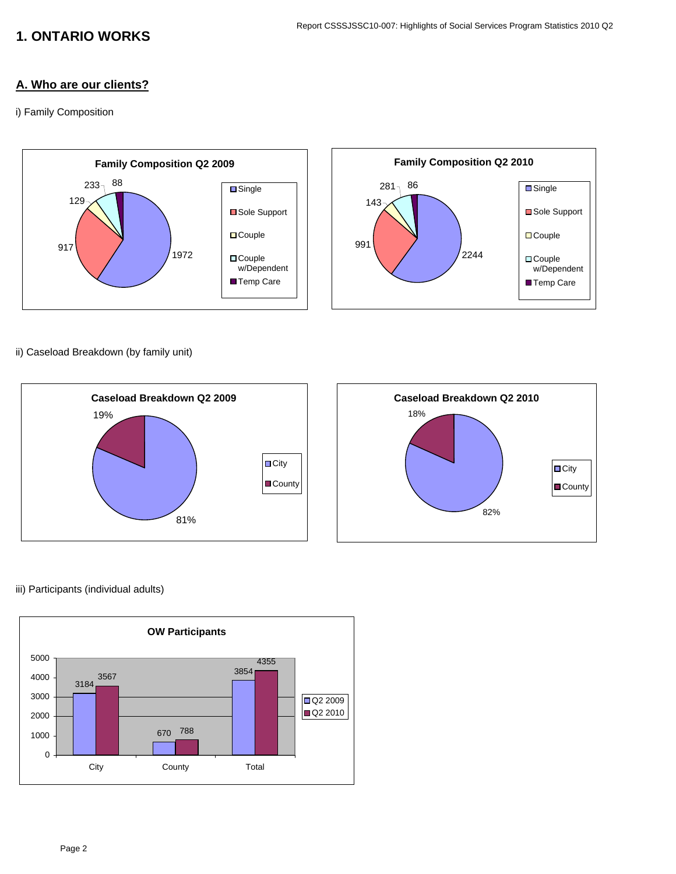## **1. ONTARIO WORKS**

## **A. Who are our clients?**

i) Family Composition



ii) Caseload Breakdown (by family unit)



#### iii) Participants (individual adults)

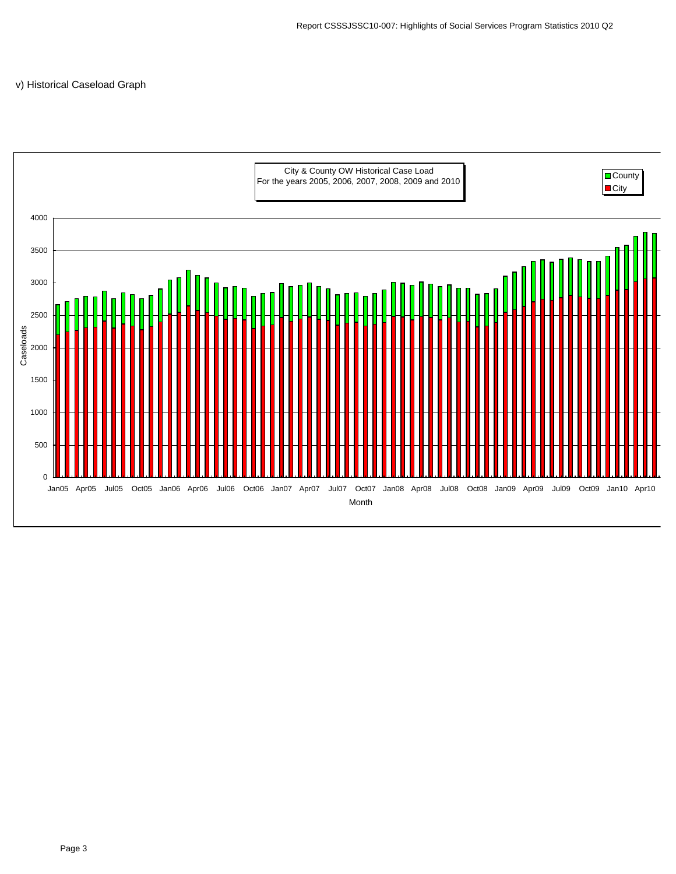#### v) Historical Caseload Graph

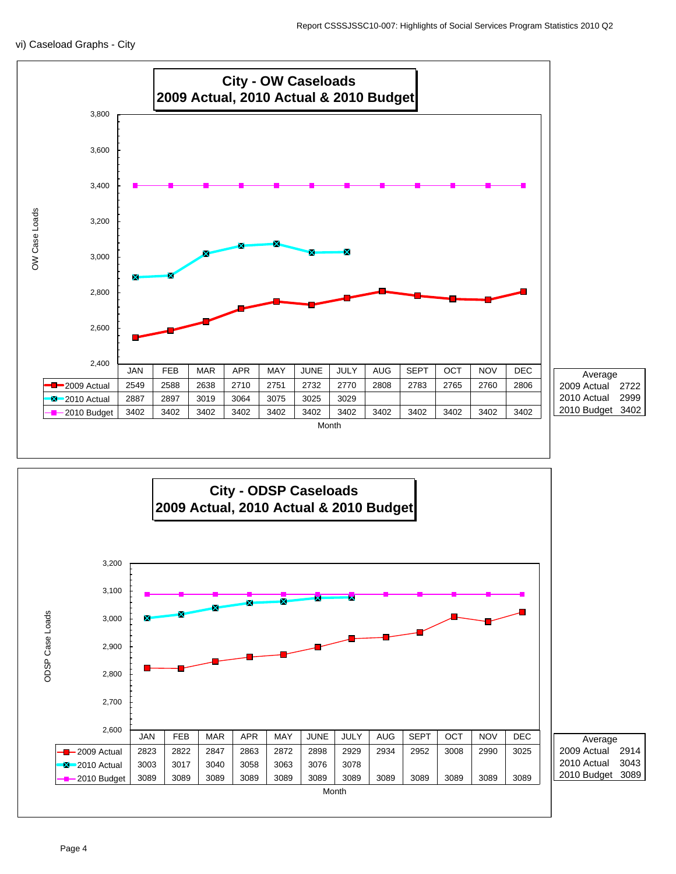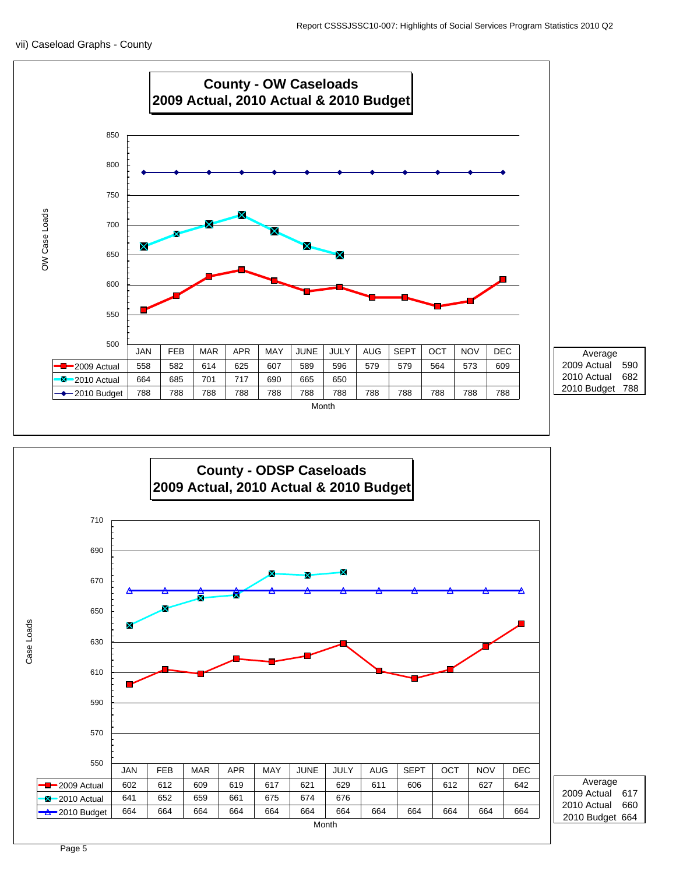



2009 Actual 617 2010 Budget 664 Average 2010 Actual 660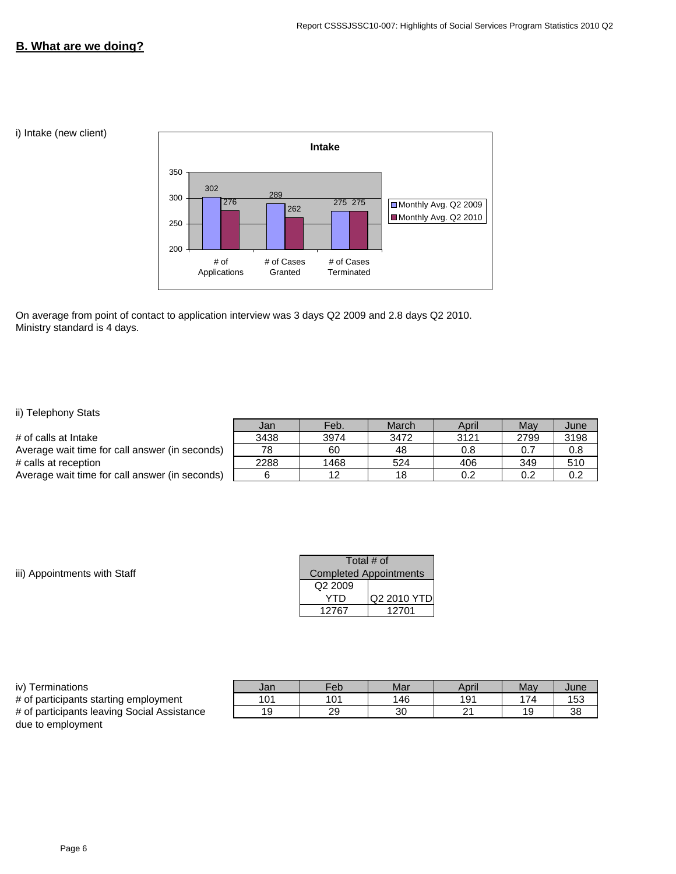#### **B. What are we doing?**

i) Intake (new client)



On average from point of contact to application interview was 3 days Q2 2009 and 2.8 days Q2 2010. Ministry standard is 4 days.

#### ii) Telephony Stats

|                                                | Jan  | Feb. | March | April | May  | June |
|------------------------------------------------|------|------|-------|-------|------|------|
| # of calls at Intake                           | 3438 | 3974 | 3472  | 3121  | 2799 | 3198 |
| Average wait time for call answer (in seconds) | 78   | 60   | 48    | 0.8   | 0.7  | 0.8  |
| # calls at reception                           | 2288 | 1468 | 524   | 406   | 349  | 510  |
| Average wait time for call answer (in seconds) |      | 12   | 18    | 0.2   | 0.2  | 0.2  |
|                                                |      |      |       |       |      |      |

iii) Appointments with Staff

| Total # of                    |             |  |  |
|-------------------------------|-------------|--|--|
| <b>Completed Appointments</b> |             |  |  |
| Q2 2009                       |             |  |  |
| YTD                           | Q2 2010 YTD |  |  |
| 12767                         | 12701       |  |  |

#### iv) Terminations **South Contracts** Jan Teb Mar April May June

# of participants starting employment 101 101 146 191 174 153 # of participants leaving Social Assistance 19 29 30 21 19 38 due to employment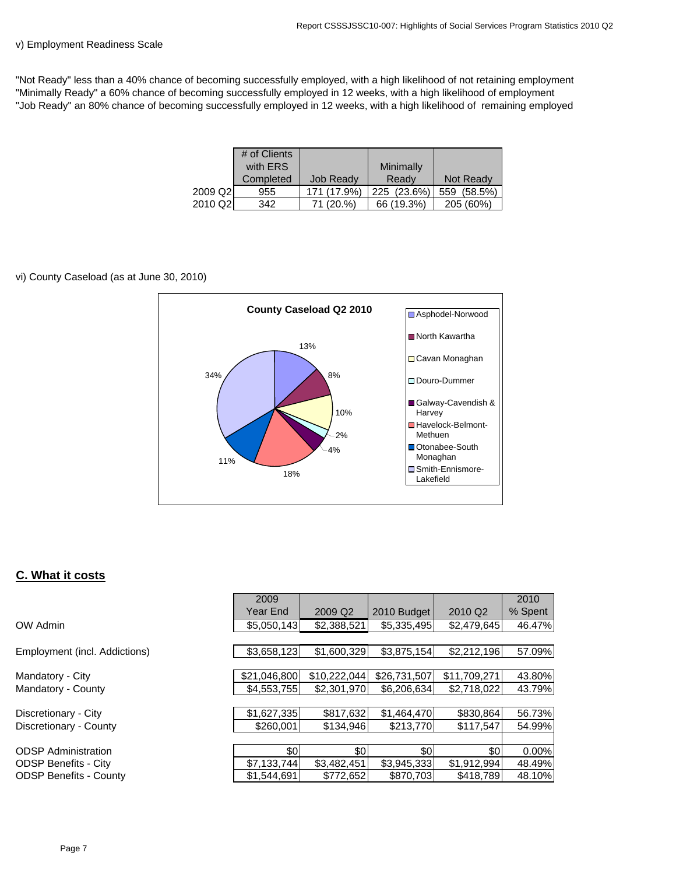$\sqrt{2010}$ 

#### v) Employment Readiness Scale

"Not Ready" less than a 40% chance of becoming successfully employed, with a high likelihood of not retaining employment "Minimally Ready" a 60% chance of becoming successfully employed in 12 weeks, with a high likelihood of employment "Job Ready" an 80% chance of becoming successfully employed in 12 weeks, with a high likelihood of remaining employed

|         | # of Clients |                  |             |             |
|---------|--------------|------------------|-------------|-------------|
|         | with ERS     |                  | Minimally   |             |
|         | Completed    | <b>Job Ready</b> | Ready       | Not Ready   |
| 2009 Q2 | 955          | 171 (17.9%)      | 225 (23.6%) | 559 (58.5%) |
| 2010 Q2 | 342          | 71 (20.%)        | 66 (19.3%)  | 205 (60%)   |

#### vi) County Caseload (as at June 30, 2010)



#### **C. What it costs**

|                               | 2000         |                     |              |                     | 2010    |
|-------------------------------|--------------|---------------------|--------------|---------------------|---------|
|                               | Year End     | 2009 Q <sub>2</sub> | 2010 Budget  | 2010 Q <sub>2</sub> | % Spent |
| OW Admin                      | \$5,050,143  | \$2,388,521         | \$5,335,495  | \$2,479,645         | 46.47%  |
|                               |              |                     |              |                     |         |
| Employment (incl. Addictions) | \$3,658,123  | \$1,600,329         | \$3,875,154  | \$2,212,196         | 57.09%  |
|                               |              |                     |              |                     |         |
| Mandatory - City              | \$21.046.800 | \$10.222.044        | \$26,731,507 | \$11,709,271        | 43.80%  |
| Mandatory - County            | \$4,553,755  | \$2,301,970         | \$6,206,634  | \$2,718,022         | 43.79%  |
|                               |              |                     |              |                     |         |
| Discretionary - City          | \$1,627,335  | \$817,632           | \$1.464,470  | \$830,864           | 56.73%  |
| Discretionary - County        | \$260,001    | \$134.946           | \$213,770    | \$117,547           | 54.99%  |
|                               |              |                     |              |                     |         |
| <b>ODSP Administration</b>    | \$0          | \$0                 | \$0          | \$0                 | 0.00%   |
| ODSP Benefits - City          | \$7,133,744  | \$3,482,451         | \$3,945,333  | \$1,912,994         | 48.49%  |
| <b>ODSP Benefits - County</b> | \$1,544,691  | \$772,652           | \$870,703    | \$418,789           | 48.10%  |
|                               |              |                     |              |                     |         |

T

 $2000$ 

г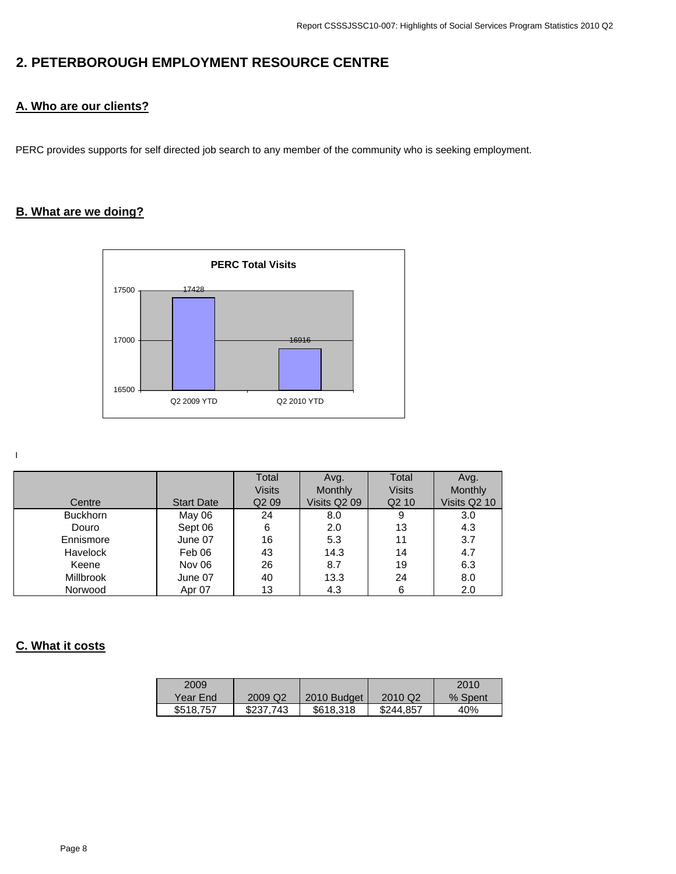# **2. PETERBOROUGH EMPLOYMENT RESOURCE CENTRE**

## **A. Who are our clients?**

PERC provides supports for self directed job search to any member of the community who is seeking employment.

## **B. What are we doing?**



I

|                  |                   | Total             | Avg.         | Total             | Avg.         |
|------------------|-------------------|-------------------|--------------|-------------------|--------------|
|                  |                   | <b>Visits</b>     | Monthly      | <b>Visits</b>     | Monthly      |
| Centre           | <b>Start Date</b> | Q <sub>2</sub> 09 | Visits Q2 09 | Q <sub>2</sub> 10 | Visits Q2 10 |
| <b>Buckhorn</b>  | May 06            | 24                | 8.0          | 9                 | 3.0          |
| Douro            | Sept 06           | 6                 | 2.0          | 13                | 4.3          |
| Ennismore        | June 07           | 16                | 5.3          | 11                | 3.7          |
| <b>Havelock</b>  | Feb 06            | 43                | 14.3         | 14                | 4.7          |
| Keene            | Nov 06            | 26                | 8.7          | 19                | 6.3          |
| <b>Millbrook</b> | June 07           | 40                | 13.3         | 24                | 8.0          |
| Norwood          | Apr 07            | 13                | 4.3          | 6                 | 2.0          |

## **C. What it costs**

| 2009      |                     |             |           | 2010    |
|-----------|---------------------|-------------|-----------|---------|
| Year End  | 2009 Q <sub>2</sub> | 2010 Budget | 2010 Q2   | % Spent |
| \$518,757 | \$237,743           | \$618,318   | \$244.857 | 40%     |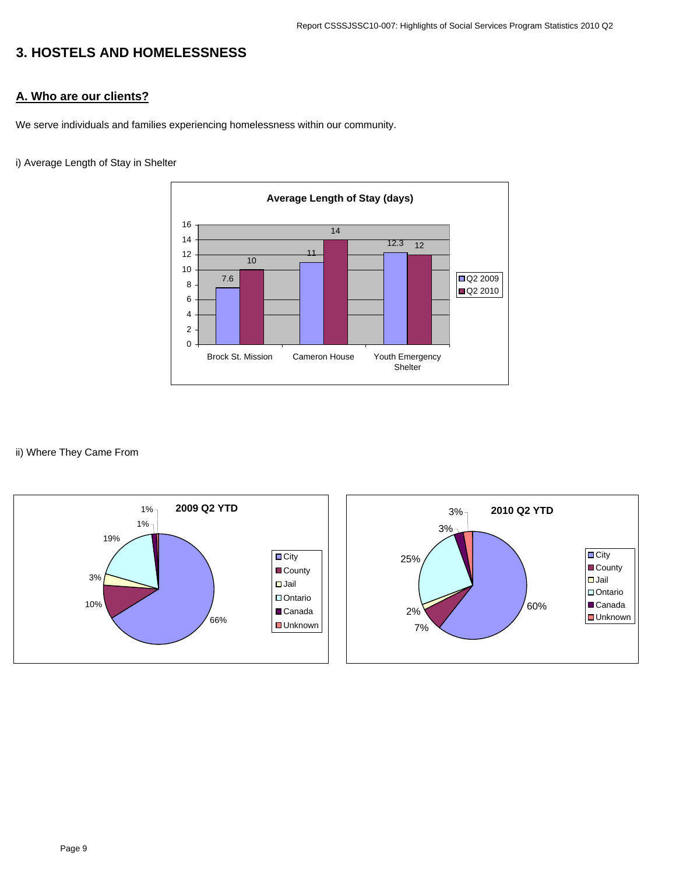# **3. HOSTELS AND HOMELESSNESS**

## **A. Who are our clients?**

We serve individuals and families experiencing homelessness within our community.

#### i) Average Length of Stay in Shelter



#### ii) Where They Came From



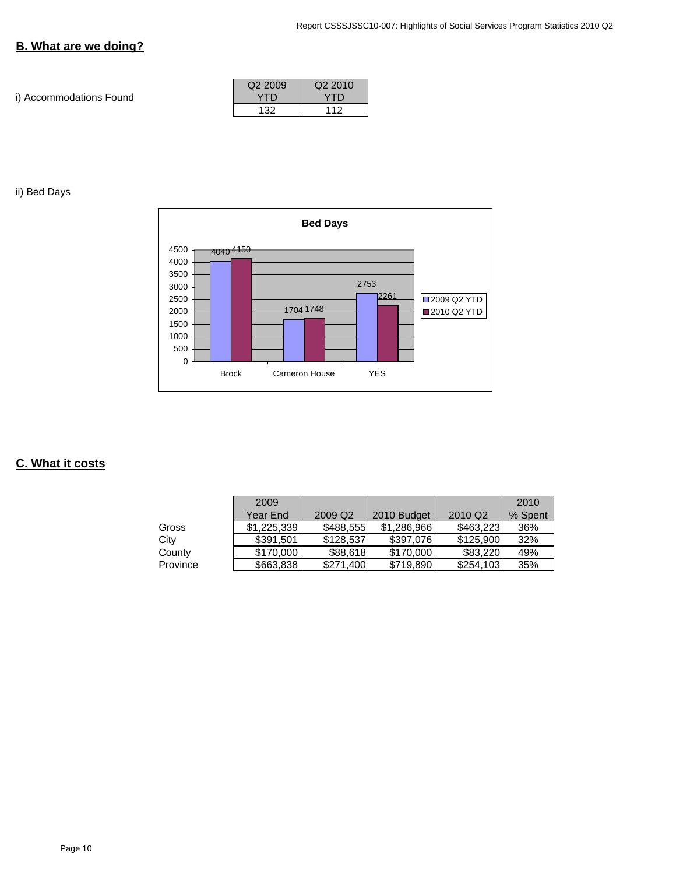## **B. What are we doing?**

i) Accommodations Found

| Q <sub>2</sub> 2009 | Q <sub>2</sub> 2010 |
|---------------------|---------------------|
| YTD                 | YTD                 |
| 132                 | 112                 |

ii) Bed Days



## **C. What it costs**

|          | 2009        |           |             |                     | 2010    |
|----------|-------------|-----------|-------------|---------------------|---------|
|          | Year End    | 2009 Q2   | 2010 Budget | 2010 Q <sub>2</sub> | % Spent |
| Gross    | \$1,225,339 | \$488,555 | \$1,286,966 | \$463,223           | 36%     |
| City     | \$391,501   | \$128,537 | \$397,076   | \$125,900           | 32%     |
| County   | \$170,000   | \$88,618  | \$170,000   | \$83,220            | 49%     |
| Province | \$663,838   | \$271.400 | \$719,890   | \$254.103           | 35%     |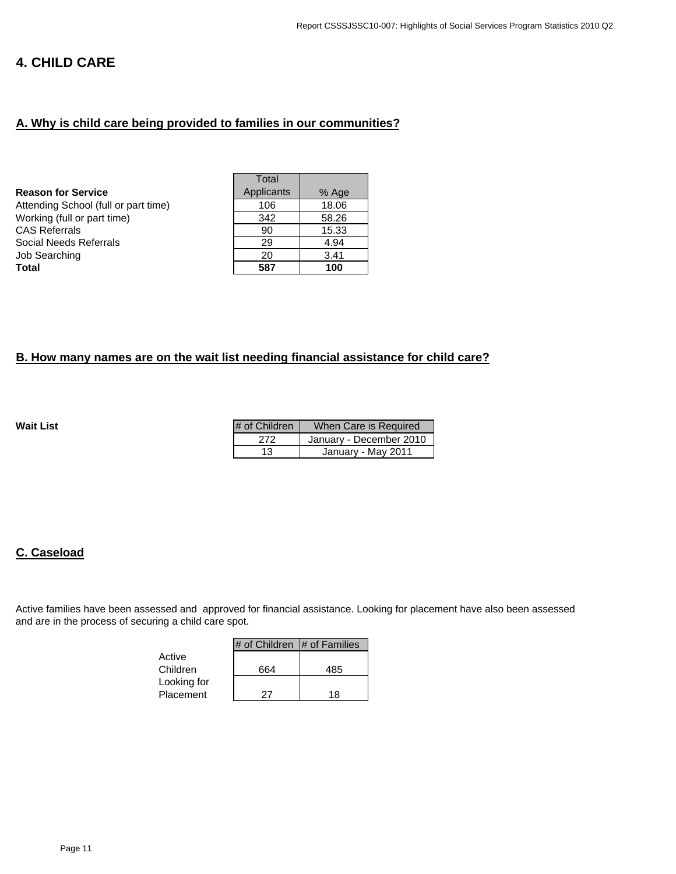## **4. CHILD CARE**

#### **A. Why is child care being provided to families in our communities?**

| Total      |       |
|------------|-------|
| Applicants | % Age |
| 106        | 18.06 |
| 342        | 58.26 |
| 90         | 15.33 |
| 29         | 4.94  |
| 20         | 3.41  |
| 587        | 100   |
|            |       |

### **B. How many names are on the wait list needing financial assistance for child care?**

**Wait List** 

| # of Children | When Care is Required   |  |  |
|---------------|-------------------------|--|--|
| 272           | January - December 2010 |  |  |
| 13            | January - May 2011      |  |  |

#### **C. Caseload**

Active families have been assessed and approved for financial assistance. Looking for placement have also been assessed and are in the process of securing a child care spot.

|             | $\#$ of Children $\#$ of Families |     |
|-------------|-----------------------------------|-----|
| Active      |                                   |     |
| Children    | 664                               | 485 |
| Looking for |                                   |     |
| Placement   | 27                                | 18  |